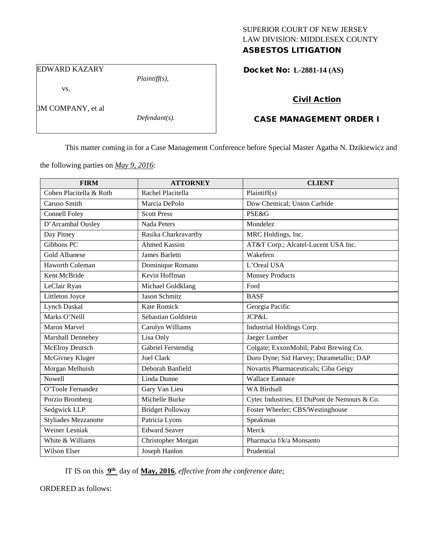# SUPERIOR COURT OF NEW JERSEY LAW DIVISION: MIDDLESEX COUNTY

# ASBESTOS LITIGATION

EDWARD KAZARY

vs.

3M COMPANY, et al

*Defendant(s).*

*Plaintiff(s),*

Docket No: **L-2881-14 (AS)** 

# Civil Action

# CASE MANAGEMENT ORDER I

This matter coming in for a Case Management Conference before Special Master Agatha N. Dzikiewicz and

the following parties on *May 9, 2016:*

| <b>FIRM</b>                 | <b>ATTORNEY</b>         | <b>CLIENT</b>                                |
|-----------------------------|-------------------------|----------------------------------------------|
| Cohen Placitella & Roth     | Rachel Placitella       | Plaintiff(s)                                 |
| Caruso Smith                | Marcia DePolo           | Dow Chemical; Union Carbide                  |
| <b>Connell Foley</b>        | <b>Scott Press</b>      | <b>PSE&amp;G</b>                             |
| D'Arcambal Ousley           | Nada Peters             | Mondelez                                     |
| Day Pitney                  | Rasika Charkravarthy    | MRC Holdings, Inc.                           |
| Gibbons PC                  | <b>Ahmed Kassim</b>     | AT&T Corp.; Alcatel-Lucent USA Inc.          |
| <b>Gold Albanese</b>        | James Barletti          | Wakefern                                     |
| Haworth Coleman             | Dominique Romano        | L'Oreal USA                                  |
| Kent McBride                | Kevin Hoffman           | <b>Monsey Products</b>                       |
| LeClair Ryan                | Michael Goldklang       | Ford                                         |
| Littleton Joyce             | <b>Jason Schmitz</b>    | <b>BASF</b>                                  |
| <b>Lynch Daskal</b>         | <b>Kate Romick</b>      | Georgia Pacific                              |
| Marks O'Neill               | Sebastian Goldstein     | JCP&L                                        |
| <b>Maron Marvel</b>         | Carolyn Williams        | Industrial Holdings Corp.                    |
| Marshall Dennehey           | Lisa Only               | Jaeger Lumber                                |
| McElroy Deutsch             | Gabriel Ferstendig      | Colgate; ExxonMobil; Pabst Brewing Co.       |
| McGivney Kluger             | <b>Joel Clark</b>       | Duro Dyne; Sid Harvey; Durametallic; DAP     |
| Morgan Melhuish             | Deborah Banfield        | Novartis Pharmaceuticals; Ciba Geigy         |
| Nowell                      | Linda Dunne             | <b>Wallace Eannace</b>                       |
| O'Toole Fernandez           | Gary Van Lieu           | <b>WA Birdsall</b>                           |
| Porzio Bromberg             | Michelle Burke          | Cytec Industries; EI DuPont de Nemours & Co. |
| Sedgwick LLP                | <b>Bridget Polloway</b> | Foster Wheeler; CBS/Westinghouse             |
| <b>Styliades Mezzanotte</b> | Patricia Lyons          | Speakman                                     |
| <b>Weiner Lesniak</b>       | <b>Edward Seaver</b>    | Merck                                        |
| White & Williams            | Christopher Morgan      | Pharmacia f/k/a Monsanto                     |
| Wilson Elser                | Joseph Hanlon           | Prudential                                   |

IT IS on this **9th** day of **May, 2016**, *effective from the conference date;*

ORDERED as follows: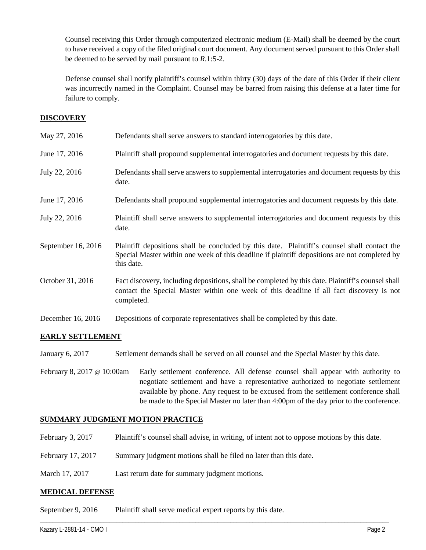Counsel receiving this Order through computerized electronic medium (E-Mail) shall be deemed by the court to have received a copy of the filed original court document. Any document served pursuant to this Order shall be deemed to be served by mail pursuant to *R*.1:5-2.

Defense counsel shall notify plaintiff's counsel within thirty (30) days of the date of this Order if their client was incorrectly named in the Complaint. Counsel may be barred from raising this defense at a later time for failure to comply.

## **DISCOVERY**

| May 27, 2016       | Defendants shall serve answers to standard interrogatories by this date.                                                                                                                                    |
|--------------------|-------------------------------------------------------------------------------------------------------------------------------------------------------------------------------------------------------------|
| June 17, 2016      | Plaintiff shall propound supplemental interrogatories and document requests by this date.                                                                                                                   |
| July 22, 2016      | Defendants shall serve answers to supplemental interrogatories and document requests by this<br>date.                                                                                                       |
| June 17, 2016      | Defendants shall propound supplemental interrogatories and document requests by this date.                                                                                                                  |
| July 22, 2016      | Plaintiff shall serve answers to supplemental interrogatories and document requests by this<br>date.                                                                                                        |
| September 16, 2016 | Plaintiff depositions shall be concluded by this date. Plaintiff's counsel shall contact the<br>Special Master within one week of this deadline if plaintiff depositions are not completed by<br>this date. |
| October 31, 2016   | Fact discovery, including depositions, shall be completed by this date. Plaintiff's counsel shall<br>contact the Special Master within one week of this deadline if all fact discovery is not<br>completed. |
| December 16, 2016  | Depositions of corporate representatives shall be completed by this date.                                                                                                                                   |

#### **EARLY SETTLEMENT**

January 6, 2017 Settlement demands shall be served on all counsel and the Special Master by this date.

February 8, 2017 @ 10:00am Early settlement conference. All defense counsel shall appear with authority to negotiate settlement and have a representative authorized to negotiate settlement available by phone. Any request to be excused from the settlement conference shall be made to the Special Master no later than 4:00pm of the day prior to the conference.

#### **SUMMARY JUDGMENT MOTION PRACTICE**

February 3, 2017 Plaintiff's counsel shall advise, in writing, of intent not to oppose motions by this date.

\_\_\_\_\_\_\_\_\_\_\_\_\_\_\_\_\_\_\_\_\_\_\_\_\_\_\_\_\_\_\_\_\_\_\_\_\_\_\_\_\_\_\_\_\_\_\_\_\_\_\_\_\_\_\_\_\_\_\_\_\_\_\_\_\_\_\_\_\_\_\_\_\_\_\_\_\_\_\_\_\_\_\_\_\_\_\_\_\_\_\_\_\_\_\_\_\_\_\_\_\_\_\_\_\_\_\_\_\_\_

- February 17, 2017 Summary judgment motions shall be filed no later than this date.
- March 17, 2017 Last return date for summary judgment motions.

#### **MEDICAL DEFENSE**

September 9, 2016 Plaintiff shall serve medical expert reports by this date.